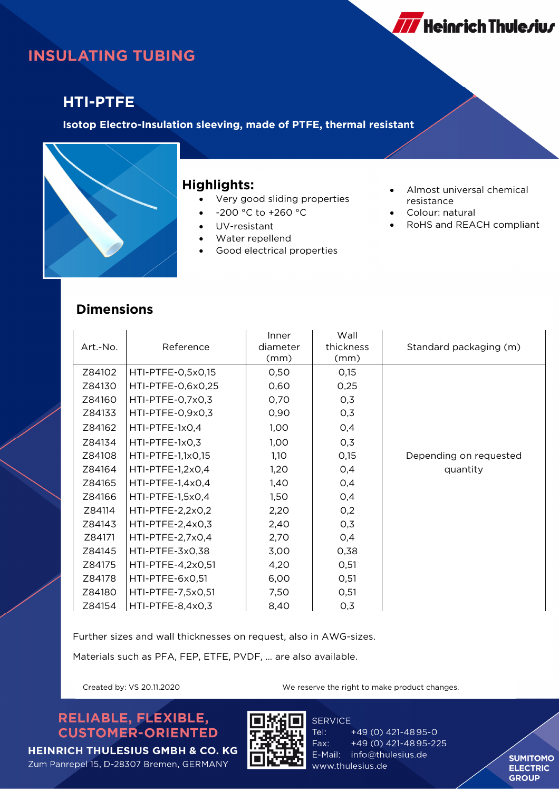

# **INSULATING TUBING**

### **HTI-PTFE**

**Isotop Electro-Insulation sleeving, made of PTFE, thermal resistant**



#### **Highlights:**

- Very good sliding properties
- -200 °C to +260 °C
- UV-resistant
- Water repellend
- Good electrical properties
- Almost universal chemical resistance
- Colour: natural
- RoHS and REACH compliant

#### **Dimensions**

| Art.-No. | Reference         | Inner<br>diameter<br>(mm) | Wall<br>thickness<br>(mm) | Standard packaging (m) |
|----------|-------------------|---------------------------|---------------------------|------------------------|
| Z84102   | HTI-PTFE-0,5x0,15 | 0,50                      | O,15                      |                        |
| Z84130   | HTI-PTFE-0,6x0,25 | 0,60                      | 0,25                      |                        |
| Z84160   | HTI-PTFE-0,7x0,3  | 0,70                      | 0,3                       |                        |
| Z84133   | HTI-PTFE-0,9x0,3  | 0,90                      | 0,3                       |                        |
| Z84162   | HTI-PTFE-1x0,4    | 1,00                      | 0,4                       |                        |
| Z84134   | HTI-PTFE-1x0,3    | 1,00                      | 0,3                       |                        |
| Z84108   | HTI-PTFE-1,1x0,15 | 1,10                      | O,15                      | Depending on requested |
| Z84164   | HTI-PTFE-1,2x0,4  | 1,20                      | 0,4                       | quantity               |
| Z84165   | HTI-PTFE-1,4x0,4  | 1,40                      | 0,4                       |                        |
| Z84166   | HTI-PTFE-1,5x0,4  | 1,50                      | 0,4                       |                        |
| Z84114   | HTI-PTFE-2,2x0,2  | 2,20                      | 0,2                       |                        |
| Z84143   | HTI-PTFE-2,4x0,3  | 2,40                      | 0,3                       |                        |
| Z84171   | HTI-PTFE-2,7x0,4  | 2,70                      | 0,4                       |                        |
| Z84145   | HTI-PTFE-3x0,38   | 3,00                      | 0,38                      |                        |
| Z84175   | HTI-PTFE-4,2x0,51 | 4,20                      | O, 51                     |                        |
| Z84178   | HTI-PTFE-6x0,51   | 6,00                      | 0,51                      |                        |
| Z84180   | HTI-PTFE-7,5x0,51 | 7,50                      | 0,51                      |                        |
| Z84154   | HTI-PTFE-8,4x0,3  | 8,40                      | 0,3                       |                        |

Further sizes and wall thicknesses on request, also in AWG-sizes.

Materials such as PFA, FEP, ETFE, PVDF, … are also available.

Created by: VS 20.11.2020 We reserve the right to make product changes.

RELIABLE, FLEXIBLE, **CUSTOMER-ORIENTED** 

**HEINRICH THULESIUS GMBH & CO. KG** 

Zum Panrepel 15, D-28307 Bremen, GERMANY



Tel: +49 (0) 421-4895-0 Fax: +49 (0) 421-4895-225 E-Mail: info@thulesius.de www.thulesius.de

**SUMITOMO ELECTRIC GROUP**